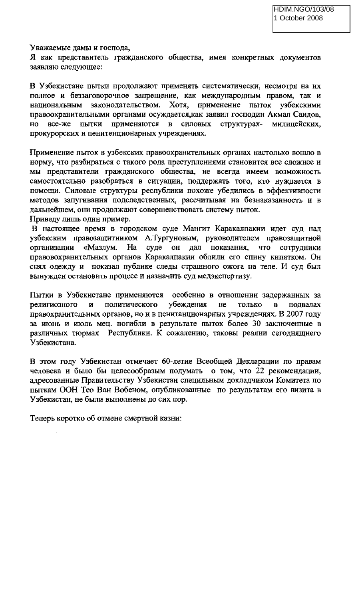Уважаемые дамы и господа,

Я как представитель гражданского общества, имея конкретных документов заявляю следующее:

В Узбекистане пытки продолжают применять систематически, несмотря на их полное и беззаговорочное запрещение, как международным правом, так и национальным законодательством. Хотя, применение пыток узбекскими правоохранительными органами осуждается, как заявил господин Акмал Саидов, HO все-же пытки применяются в силовых структурахмилицейских, прокурорских и пенитенционарных учреждениях.

Применение пыток в узбекских правоохранительных органах настолько вошло в норму, что разбираться с такого рода преступлениями становится все сложнее и мы представители гражданского общества, не всегда имеем возможность самостоятельно разобраться в ситуации, поддержать того, кто нуждается в помощи. Силовые структуры республики похоже убедились в эффективности методов запугивания подследственных, рассчитывая на безнаказанность и в дальнейшем, они продолжают совершенствовать систему пыток.

Приведу лишь один пример.

В настоящее время в городском суде Мангит Каракалпакии идет суд над узбекским правозащитником А.Тургуновым, руководителем правозащитной организации «Мазлум. На суде он дал показания, что сотрудники правовохранительных органов Каракалпакии облили его спину кипятком. Он снял одежду и показал публике следы страшного ожога на теле. И суд был вынужден остановить процесс и назначить суд медэкспертизу.

Пытки в Узбекистане применяются особенно в отношении задержанных за политического убеждения религиозного  $\overline{\mathbf{H}}$ He только  $\mathbf{B}$ полвалах правохранительных органов, но и в пенитанционарных учреждениях. В 2007 году за июнь и июль мец. погибли в результате пыток более 30 заключенные в различных тюрмах Республики. К сожалению, таковы реалии сегоднящнего Узбекистана.

В этом году Узбекистан отмечает 60-летие Всеобщей Декларации по правам человека и было бы целесообразым подумать о том, что 22 рекомендации, адресованные Правительству Узбекистан специльным докладчиком Комитета по пыткам ООН Тео Ван Вобеном, опубликованные по результатам его визита в Узбекистан, не были выполнены до сих пор.

Теперь коротко об отмене смертной казни: